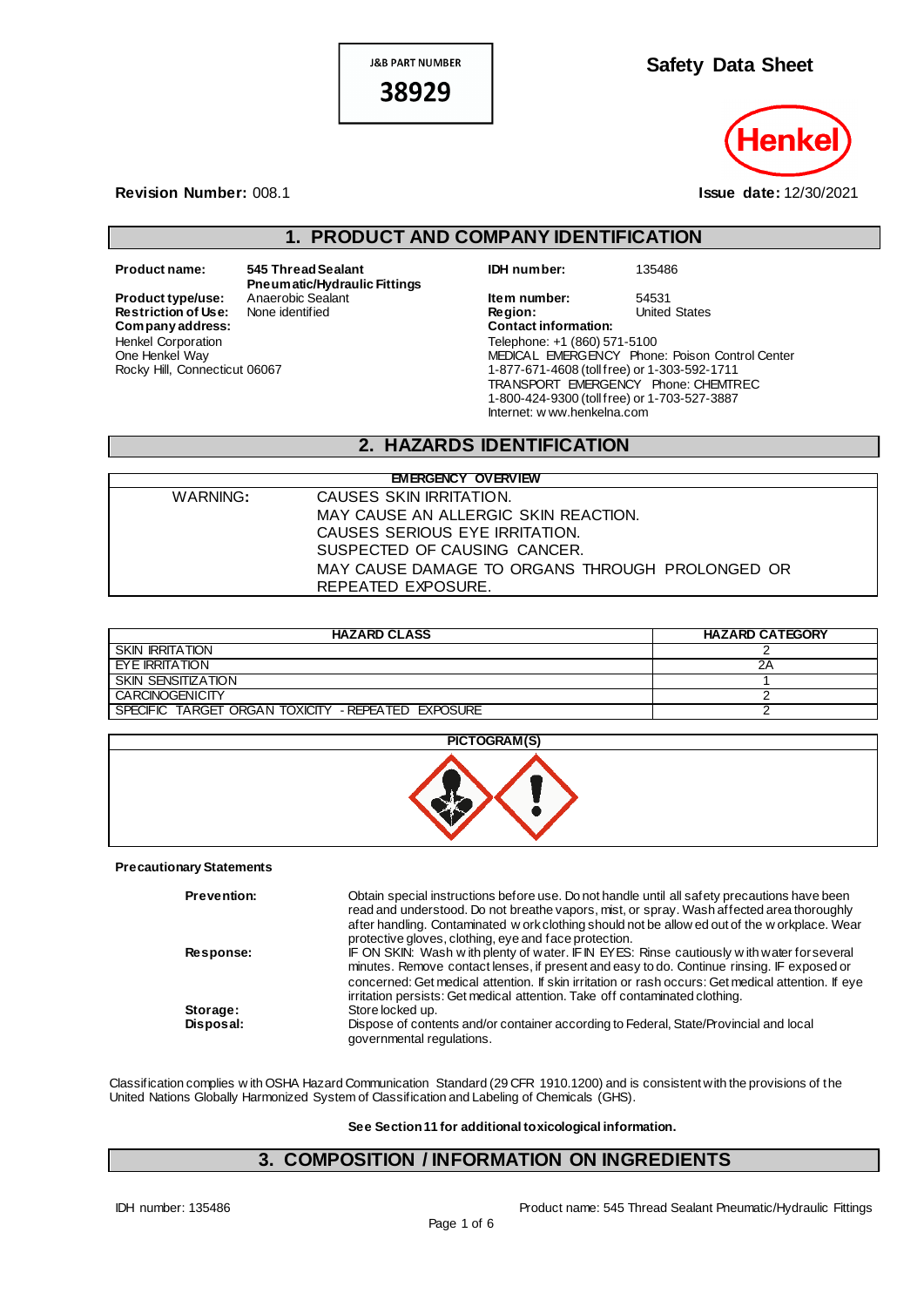**J&B PART NUMBER** 

38929



#### **Revision Number:** 008.1 **Issue date:** 12/30/2021

# **1. PRODUCT AND COMPANY IDENTIFICATION**

**Restriction of Use:**<br>Company address: Henkel Corporation One Henkel Way Rocky Hill, Connecticut 06067

**Product name: 545 Thread Sealant Pneumatic/Hydraulic Fittings** **IDH number:** 135486

**Product type/use:** Anaerobic Sealant **Item number:** 54531 **Restriction of Use:** None identified **In the States In Region:** United States **Company address: Contact information:** Telephone: +1 (860) 571-5100 MEDICAL EMERGENCY Phone: Poison Control Center 1-877-671-4608 (toll free) or 1-303-592-1711 TRANSPORT EMERGENCY Phone: CHEMTREC 1-800-424-9300 (toll free) or 1-703-527-3887 Internet: w ww.henkelna.com

### **2. HAZARDS IDENTIFICATION**

|          | <b>EMERGENCY OVERVIEW</b>                       |
|----------|-------------------------------------------------|
| WARNING: | CAUSES SKIN IRRITATION.                         |
|          | MAY CAUSE AN ALLERGIC SKIN REACTION.            |
|          | CAUSES SERIOUS EYE IRRITATION.                  |
|          | SUSPECTED OF CAUSING CANCER.                    |
|          | MAY CAUSE DAMAGE TO ORGANS THROUGH PROLONGED OR |
|          | REPEATED EXPOSURE.                              |

| <b>HAZARD CLASS</b>                                | <b>HAZARD CATEGORY</b> |
|----------------------------------------------------|------------------------|
| <b>SKIN IRRITATION</b>                             |                        |
| EYE IRRITATION                                     | 2Α                     |
| SKIN SENSITIZATION                                 |                        |
| <b>CARCINOGENICITY</b>                             |                        |
| SPECIFIC TARGET ORGAN TOXICITY - REPEATED EXPOSURE |                        |



#### **Precautionary Statements**

| <b>Prevention:</b> | Obtain special instructions before use. Do not handle until all safety precautions have been<br>read and understood. Do not breathe vapors, mist, or spray. Wash affected area thoroughly<br>after handling. Contaminated w ork clothing should not be allow ed out of the w orkplace. Wear<br>protective gloves, clothing, eye and face protection.                         |
|--------------------|------------------------------------------------------------------------------------------------------------------------------------------------------------------------------------------------------------------------------------------------------------------------------------------------------------------------------------------------------------------------------|
| Response:          | IF ON SKIN: Wash with plenty of water. IFIN EYES: Rinse cautiously with water for several<br>minutes. Remove contact lenses, if present and easy to do. Continue rinsing. IF exposed or<br>concerned: Get medical attention. If skin irritation or rash occurs: Get medical attention. If eye<br>irritation persists: Get medical attention. Take off contaminated clothing. |
| Storage:           | Store locked up.                                                                                                                                                                                                                                                                                                                                                             |
| Disposal:          | Dispose of contents and/or container according to Federal, State/Provincial and local<br>governmental regulations.                                                                                                                                                                                                                                                           |

Classification complies w ith OSHA Hazard Communication Standard (29 CFR 1910.1200) and is consistent with the provisions of the United Nations Globally Harmonized System of Classification and Labeling of Chemicals (GHS).

#### **See Section 11 for additional toxicological information.**

### **3. COMPOSITION / INFORMATION ON INGREDIENTS**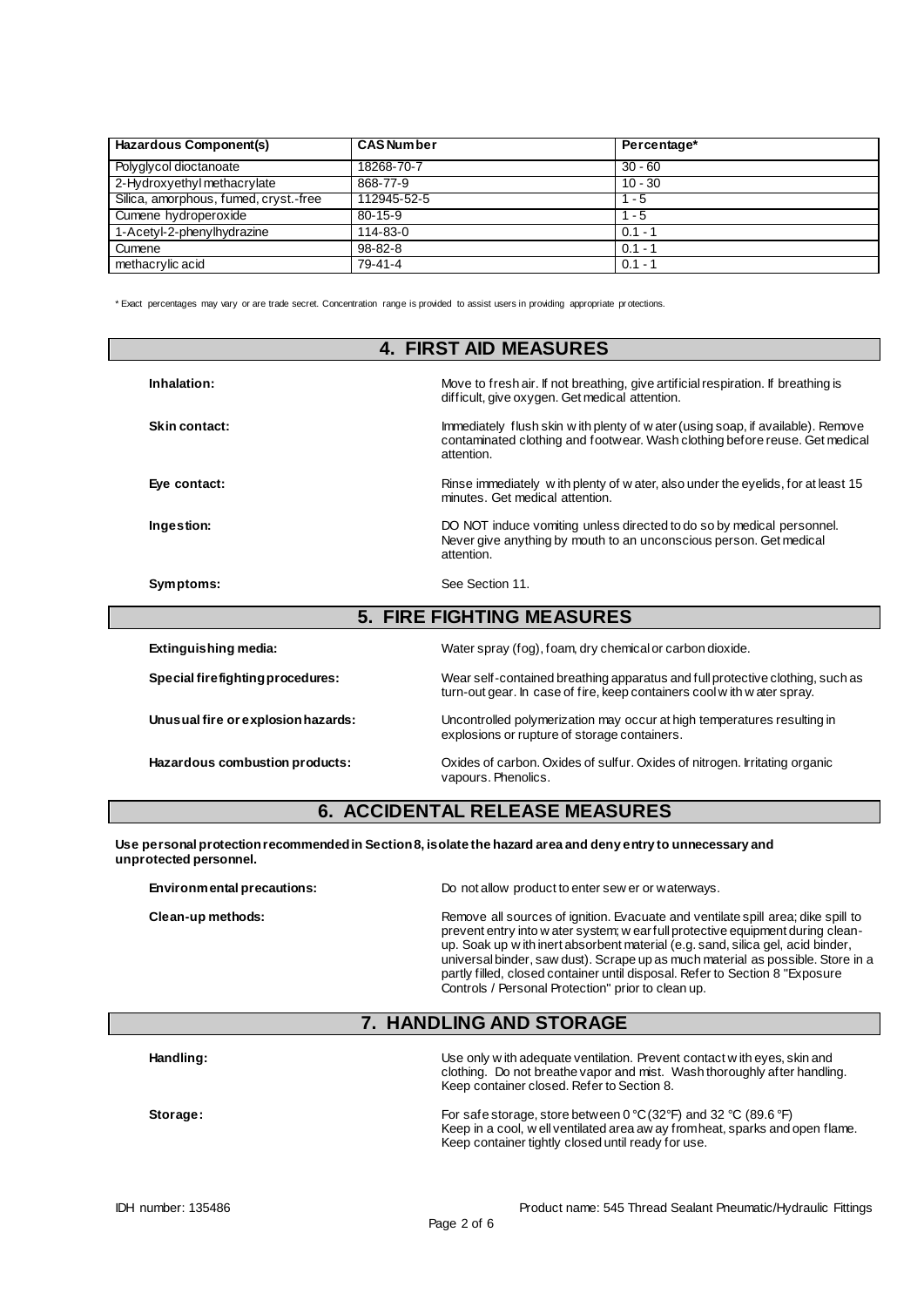| Hazardous Component(s)                | <b>CAS Number</b> | Percentage* |  |
|---------------------------------------|-------------------|-------------|--|
| Polyglycol dioctanoate                | 18268-70-7        | $30 - 60$   |  |
| 2-Hydroxyethyl methacrylate           | 868-77-9          | $10 - 30$   |  |
| Silica, amorphous, fumed, cryst.-free | 112945-52-5       | $1 - 5$     |  |
| Cumene hydroperoxide                  | $80 - 15 - 9$     | - 5         |  |
| 1-Acetyl-2-phenylhydrazine            | $114 - 83 - 0$    | $0.1 - 1$   |  |
| Cumene                                | $98 - 82 - 8$     | $0.1 - 1$   |  |
| methacrylic acid                      | $79-41-4$         | $0.1 - 1$   |  |

\* Exact percentages may vary or are trade secret. Concentration range is provided to assist users in providing appropriate pr otections.

| <b>4. FIRST AID MEASURES</b>     |                                                                                                                                                                               |  |
|----------------------------------|-------------------------------------------------------------------------------------------------------------------------------------------------------------------------------|--|
| Inhalation:                      | Move to fresh air. If not breathing, give artificial respiration. If breathing is<br>difficult, give oxygen. Get medical attention.                                           |  |
| Skin contact:                    | Immediately flush skin w ith plenty of w ater (using soap, if available). Remove<br>contaminated clothing and footwear. Wash clothing before reuse. Get medical<br>attention. |  |
| Eye contact:                     | Rinse immediately with plenty of water, also under the eyelids, for at least 15<br>minutes. Get medical attention.                                                            |  |
| Ingestion:                       | DO NOT induce vomiting unless directed to do so by medical personnel.<br>Never give anything by mouth to an unconscious person. Get medical<br>attention.                     |  |
| Symptoms:                        | See Section 11.                                                                                                                                                               |  |
|                                  | <b>5. FIRE FIGHTING MEASURES</b>                                                                                                                                              |  |
| Extinguishing media:             | Water spray (fog), foam, dry chemical or carbon dioxide.                                                                                                                      |  |
| Special firefighting procedures: | Wear self-contained breathing apparatus and full protective clothing, such as<br>turn-out gear. In case of fire, keep containers cool with water spray.                       |  |

**Unusual fire or explosion hazards:** Uncontrolled polymerization may occur at high temperatures resulting in explosions or rupture of storage containers. **Hazardous combustion products:** Oxides of carbon. Oxides of sulfur. Oxides of nitrogen. Irritating organic vapours. Phenolics.

### **6. ACCIDENTAL RELEASE MEASURES**

**Use personal protection recommended in Section 8, isolate the hazard area and deny entry to unnecessary and unprotected personnel.**

**Environmental precautions:** Do not allow product to enter sew er or waterways.

**Clean-up methods:** Remove all sources of ignition. Evacuate and ventilate spill area; dike spill to prevent entry into w ater system; w ear full protective equipment during cleanup. Soak up w ith inert absorbent material (e.g. sand, silica gel, acid binder, universal binder, saw dust). Scrape up as much material as possible. Store in a partly filled, closed container until disposal. Refer to Section 8 "Exposure Controls / Personal Protection" prior to clean up.

#### **7. HANDLING AND STORAGE**

| Handling: | Use only w ith adequate ventilation. Prevent contact w ith eyes, skin and<br>clothing. Do not breathe vapor and mist. Wash thoroughly after handling.<br>Keep container closed. Refer to Section 8.                               |
|-----------|-----------------------------------------------------------------------------------------------------------------------------------------------------------------------------------------------------------------------------------|
| Storage:  | For safe storage, store between $0^{\circ}C(32^{\circ}F)$ and 32 $^{\circ}C(89.6^{\circ}F)$<br>Keep in a cool, well ventilated area aw ay from heat, sparks and open flame.<br>Keep container tightly closed until ready for use. |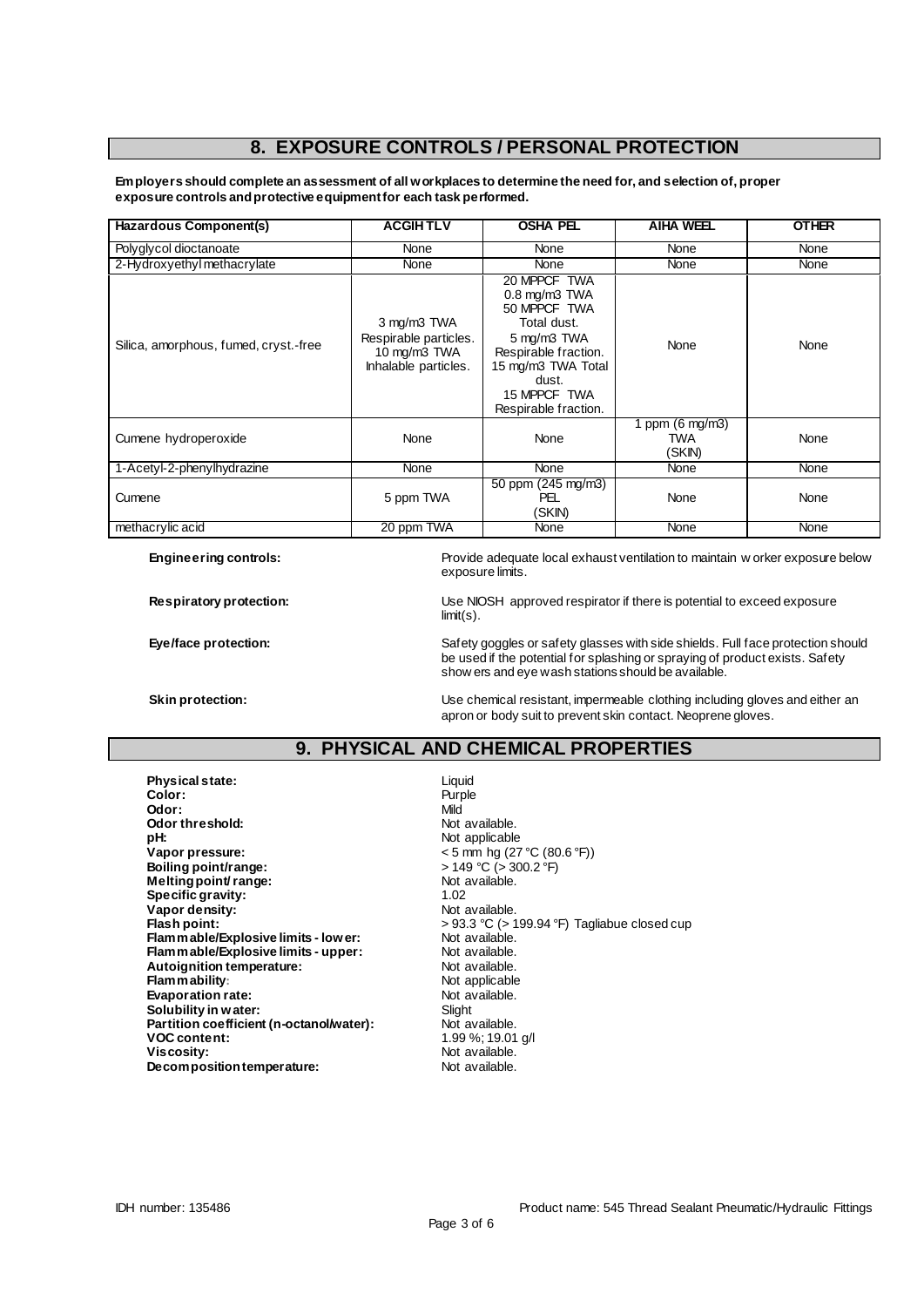## **8. EXPOSURE CONTROLS / PERSONAL PROTECTION**

**Employers should complete an assessment of all workplaces to determine the need for, and selection of, proper exposure controls and protective equipment for each task performed.**

| Hazardous Component(s)                | <b>ACGIHTLV</b>                                                              | <b>OSHA PEL</b>                                                                                                                                                            | <b>AIHA WEEL</b>                           | <b>OTHER</b> |
|---------------------------------------|------------------------------------------------------------------------------|----------------------------------------------------------------------------------------------------------------------------------------------------------------------------|--------------------------------------------|--------------|
| Polyglycol dioctanoate                | <b>None</b>                                                                  | <b>None</b>                                                                                                                                                                | None                                       | None         |
| 2-Hydroxyethyl methacrylate           | None                                                                         | None                                                                                                                                                                       | None                                       | None         |
| Silica, amorphous, fumed, cryst.-free | 3 mg/m3 TWA<br>Respirable particles.<br>10 mg/m3 TWA<br>Inhalable particles. | 20 MPPCF TWA<br>0.8 mg/m3 TWA<br>50 MPPCF TWA<br>Total dust.<br>5 mg/m3 TWA<br>Respirable fraction.<br>15 mg/m3 TWA Total<br>dust.<br>15 MPPCF TWA<br>Respirable fraction. | None                                       | None         |
| Cumene hydroperoxide                  | None                                                                         | None                                                                                                                                                                       | 1 ppm $(6 \text{ mg/m3})$<br>TWA<br>(SKIN) | None         |
| 1-Acetyl-2-phenylhydrazine            | None                                                                         | None                                                                                                                                                                       | None                                       | None         |
| Cumene                                | 5 ppm TWA                                                                    | 50 ppm (245 mg/m3)<br>PEL<br>(SKIN)                                                                                                                                        | None                                       | None         |
| methacrylic acid                      | 20 ppm TWA                                                                   | None                                                                                                                                                                       | None                                       | None         |

**Engineering controls:** Provide adequate local exhaust ventilation to maintain w orker exposure below exposure limits.

**Respiratory protection:** Use NIOSH approved respirator if there is potential to exceed exposure limit(s).

**Eye/face protection:** Safety goggles or safety glasses with side shields. Full face protection should be used if the potential for splashing or spraying of product exists. Safety show ers and eye wash stations should be available.

**Skin protection:** Use chemical resistant, impermeable clothing including gloves and either an apron or body suit to prevent skin contact. Neoprene gloves.

## **9. PHYSICAL AND CHEMICAL PROPERTIES**

**Physical state:** Liquid Color: Liquid Color: **Color:** Purple **Odor:** Mild **Odor threshold:** Not available.<br> **pH:** Not applicable. **Vapor pressure:**  $\leftarrow$  5 mm hg (27 °C (80.6 °F))<br> **Boiling point/range:**  $\leftarrow$  149 °C (> 300.2 °F) **Boiling point/range:**  $\rightarrow$  149 °C ( $\rightarrow$  30.<br> **Melting point/range:**  $\rightarrow$  Not available. **Melting point/ range:** Not and Not and Not approximately not a Not and Not and Not and Not approximately not a Note of the Note of The Note of the Note of The Note of the Note of The Note of the Note of The Note of the No **Specific gravity:**  $\begin{array}{ccc} 1.02 \\ \text{Vapor density:} \end{array}$  1.02 **Vapor density:**<br>Flash point: **Flammable/Explosive limits - lower:** Not available.<br> **Flammable/Explosive limits - upper:** Not available. **Flammable/Explosive limits - upper:** Not available.<br> **Autoignition temperature:** Not available. **Autoignition temperature:** Not available.<br> **Flammability:** Not applicable **Flammability:**<br> **Evaporation rate:**<br> **Evaporation rate:**<br> **Evaporation rate: Evaporation rate:** Not available. The Solubility in water: Not available. The Solubility in water: **Solubility in water:** Slight Solubility in water:<br> **Partition coefficient (n-octanol/water):** Not available. Partition coefficient (n-octanol/water):<br>VOC content: **Viscosity:**<br> **Decomposition temperature:** Not available. **Decomposition temperature:** 

Not applicable > 93.3 °C (> 199.94 °F) Tagliabue closed cup<br>Not available. **VOC content:** 1.99 %; 19.01 g/l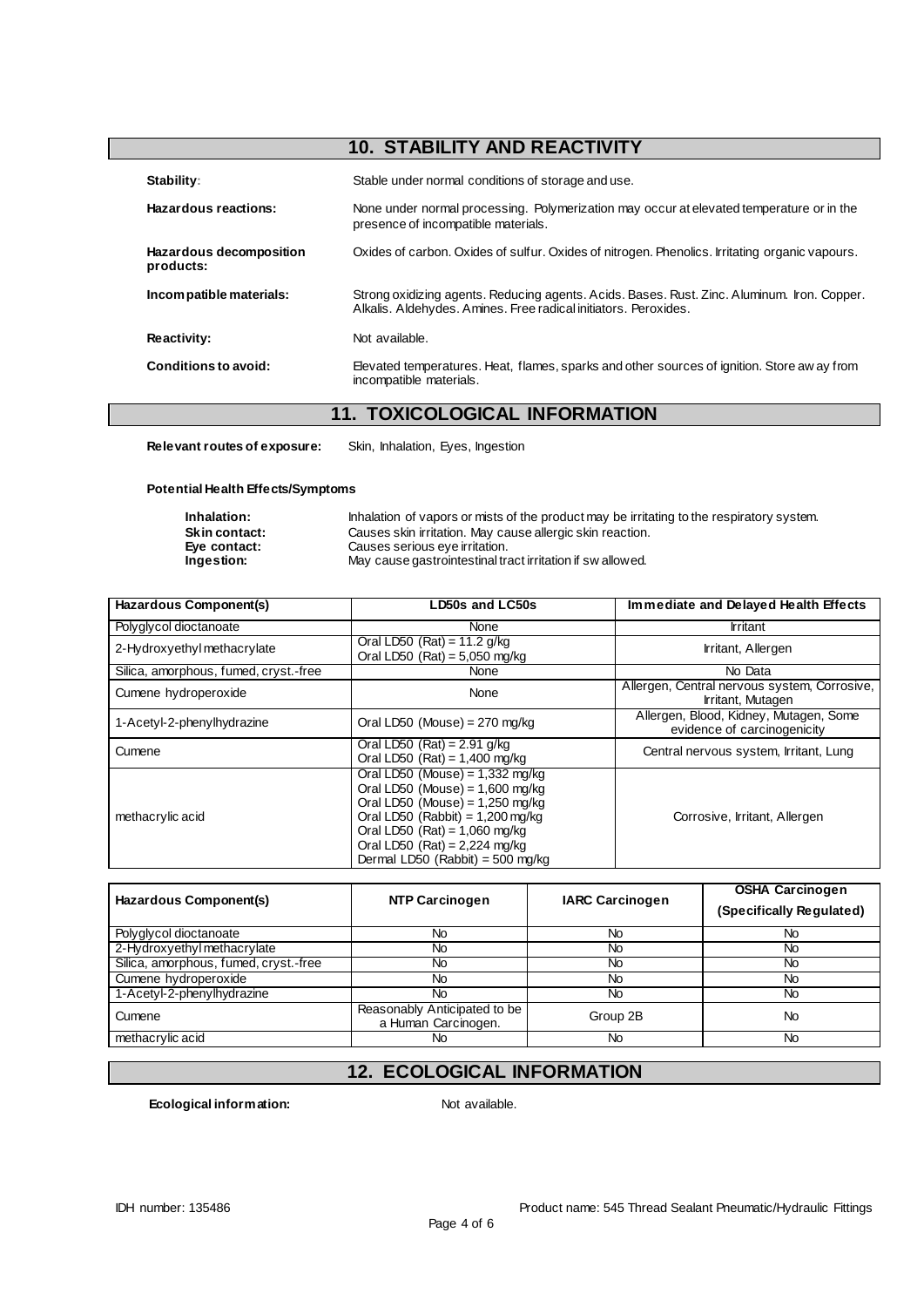# **10. STABILITY AND REACTIVITY**

| Stability:                           | Stable under normal conditions of storage and use.                                                                                                             |
|--------------------------------------|----------------------------------------------------------------------------------------------------------------------------------------------------------------|
| Hazardous reactions:                 | None under normal processing. Polymerization may occur at elevated temperature or in the<br>presence of incompatible materials.                                |
| Hazardous decomposition<br>products: | Oxides of carbon. Oxides of sulfur. Oxides of nitrogen. Phenolics. Irritating organic vapours.                                                                 |
| Incompatible materials:              | Strong oxidizing agents. Reducing agents. Acids. Bases. Rust. Zinc. Aluminum. Iron. Copper.<br>Alkalis. Aldehydes. Amines. Free radical initiators. Peroxides. |
| Reactivity:                          | Not available.                                                                                                                                                 |
| Conditions to avoid:                 | Elevated temperatures. Heat, flames, sparks and other sources of ignition. Store aw ay from<br>incompatible materials.                                         |

# **11. TOXICOLOGICAL INFORMATION**

**Relevant routes of exposure:** Skin, Inhalation, Eyes, Ingestion

#### **Potential Health Effects/Symptoms**

| Inhalation:          | Inhalation of vapors or mists of the product may be irritating to the respiratory system. |
|----------------------|-------------------------------------------------------------------------------------------|
| <b>Skin contact:</b> | Causes skin irritation. May cause allergic skin reaction.                                 |
| Eve contact:         | Causes serious eye irritation.                                                            |
| Ingestion:           | May cause gastrointestinal tract irritation if sw allowed.                                |

| Hazardous Component(s)                | LD50s and LC50s                                                                                                                                                                                                                                             | Immediate and Delayed Health Effects                                  |
|---------------------------------------|-------------------------------------------------------------------------------------------------------------------------------------------------------------------------------------------------------------------------------------------------------------|-----------------------------------------------------------------------|
| Polyglycol dioctanoate                | None                                                                                                                                                                                                                                                        | Irritant                                                              |
| 2-Hydroxyethylmethacrylate            | Oral LD50 $(Rat) = 11.2$ g/kg<br>Oral LD50 $(Rat) = 5,050$ mg/kg                                                                                                                                                                                            | Irritant, Allergen                                                    |
| Silica, amorphous, fumed, cryst.-free | None                                                                                                                                                                                                                                                        | No Data                                                               |
| Cumene hydroperoxide                  | None                                                                                                                                                                                                                                                        | Allergen, Central nervous system, Corrosive,<br>Irritant, Mutagen     |
| 1-Acetyl-2-phenylhydrazine            | Oral LD50 (Mouse) = $270$ mg/kg                                                                                                                                                                                                                             | Allergen, Blood, Kidney, Mutagen, Some<br>evidence of carcinogenicity |
| Cumene                                | Oral LD50 $(Rat) = 2.91$ g/kg<br>Oral LD50 (Rat) = $1,400$ mg/kg                                                                                                                                                                                            | Central nervous system, Irritant, Lung                                |
| methacrylic acid                      | Oral LD50 (Mouse) = $1,332$ mg/kg<br>Oral LD50 (Mouse) = $1,600$ mg/kg<br>Oral LD50 (Mouse) = $1,250$ mg/kg<br>Oral LD50 (Rabbit) = $1,200$ mg/kg<br>Oral LD50 $(Rat) = 1,060$ mg/kg<br>Oral LD50 (Rat) = $2,224$ mg/kg<br>Dermal LD50 (Rabbit) = 500 mg/kg | Corrosive, Irritant, Allergen                                         |

| Hazardous Component(s)                | <b>NTP Carcinogen</b>                               | <b>IARC Carcinogen</b> | <b>OSHA Carcinogen</b><br>(Specifically Regulated) |
|---------------------------------------|-----------------------------------------------------|------------------------|----------------------------------------------------|
| Polyglycol dioctanoate                | No                                                  | No                     | No                                                 |
| 2-Hydroxyethyl methacrylate           | No                                                  | No                     | No                                                 |
| Silica, amorphous, fumed, cryst.-free | No                                                  | No                     | No                                                 |
| Cumene hydroperoxide                  | No.                                                 | No                     | No.                                                |
| 1-Acetyl-2-phenylhydrazine            | No                                                  | No                     | No                                                 |
| Cumene                                | Reasonably Anticipated to be<br>a Human Carcinogen. | Group 2B               | No                                                 |
| methacrylic acid                      | No                                                  | No                     | No                                                 |

# **12. ECOLOGICAL INFORMATION**

**Ecological information:** Not available.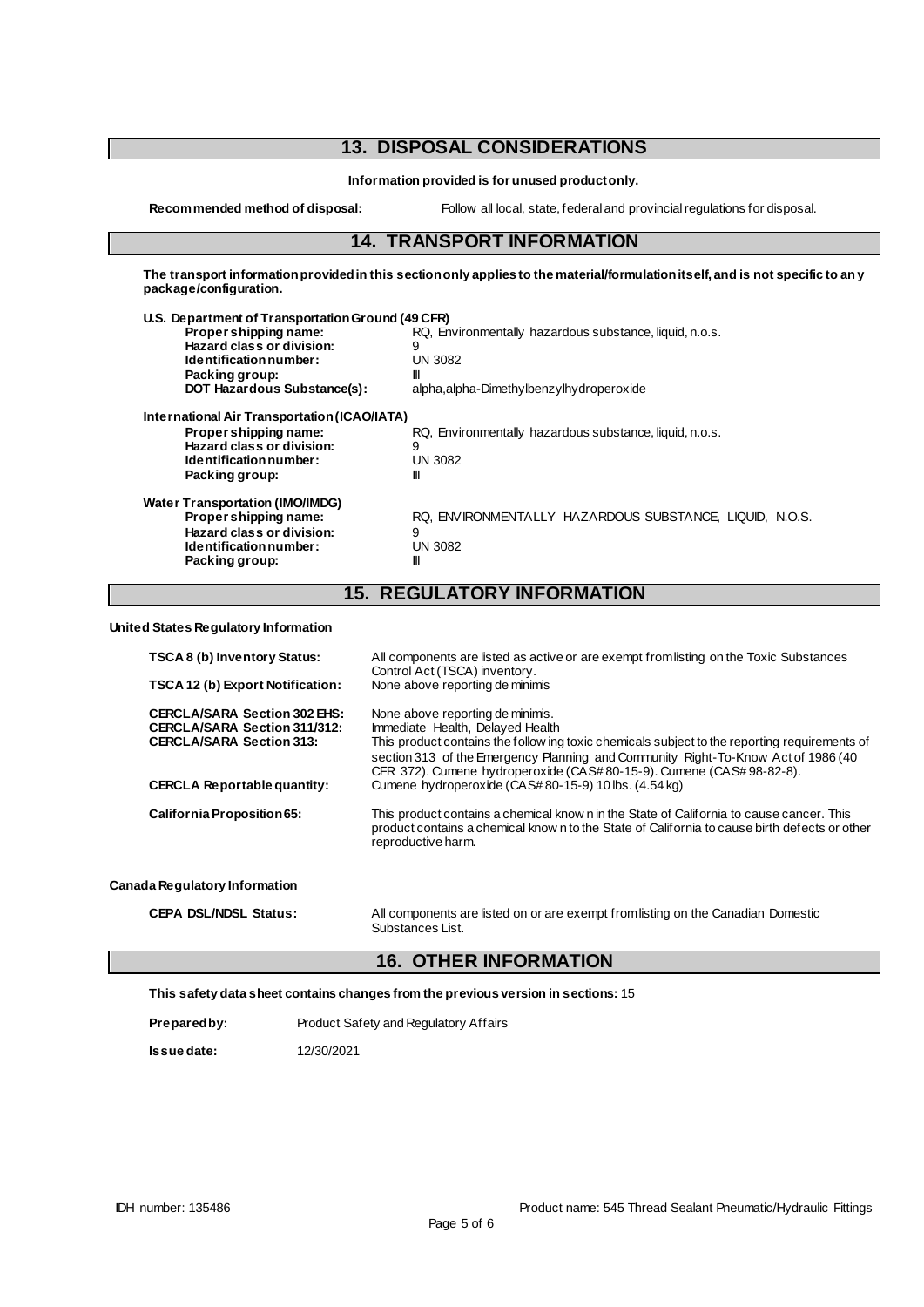# **13. DISPOSAL CONSIDERATIONS**

**Information provided is for unused product only.**

**Recommended method of disposal:** Follow all local, state, federal and provincial regulations for disposal.

#### **14. TRANSPORT INFORMATION**

**The transport information provided in this section only applies to the material/formulation itself, and is not specific to any package/configuration.**

| U.S. Department of Transportation Ground (49 CFR) |                                                         |
|---------------------------------------------------|---------------------------------------------------------|
| Propershipping name:                              | RQ, Environmentally hazardous substance, liquid, n.o.s. |
| Hazard class or division:                         | 9                                                       |
| Identification number:                            | <b>UN 3082</b>                                          |
| Packing group:                                    | Ш                                                       |
| DOT Hazardous Substance(s):                       | alpha, alpha-Dimethylbenzylhydroperoxide                |
| International Air Transportation (ICAO/IATA)      |                                                         |
| Proper shipping name:                             | RQ, Environmentally hazardous substance, liquid, n.o.s. |
| Hazard class or division:                         | 9                                                       |
| Identification number:                            | <b>UN 3082</b>                                          |
| Packing group:                                    | Ш                                                       |
| <b>Water Transportation (IMO/IMDG)</b>            |                                                         |
| Propershipping name:                              | RQ. ENVIRONMENTALLY HAZARDOUS SUBSTANCE. LIQUID. N.O.S. |
| Hazard class or division:                         | 9                                                       |
| Identification number:                            | <b>UN 3082</b>                                          |
| Packing group:                                    | Ш                                                       |

# **15. REGULATORY INFORMATION**

**United States Regulatory Information**

| All components are listed as active or are exempt from listing on the Toxic Substances<br>Control Act (TSCA) inventory.<br>None above reporting de minimis                                                                                                                                                                          |
|-------------------------------------------------------------------------------------------------------------------------------------------------------------------------------------------------------------------------------------------------------------------------------------------------------------------------------------|
| None above reporting de minimis.<br>Immediate Health, Delayed Health<br>This product contains the follow ing toxic chemicals subject to the reporting requirements of<br>section 313 of the Emergency Planning and Community Right-To-Know Act of 1986 (40<br>CFR 372). Cumene hydroperoxide (CAS# 80-15-9). Cumene (CAS# 98-82-8). |
| Cumene hydroperoxide (CAS#80-15-9) 10 lbs. (4.54 kg)                                                                                                                                                                                                                                                                                |
| This product contains a chemical know n in the State of California to cause cancer. This<br>product contains a chemical know n to the State of California to cause birth defects or other<br>reproductive harm.                                                                                                                     |
|                                                                                                                                                                                                                                                                                                                                     |

#### **Canada Regulatory Information**

| <b>CEPA DSL/NDSL Status:</b> | All components are listed on or are exempt from listing on the Canadian Domestic |
|------------------------------|----------------------------------------------------------------------------------|
|                              | Substances List.                                                                 |

## **16. OTHER INFORMATION**

**This safety data sheet contains changes from the previous version in sections:** 15

| Preparedby: | Product Safety and Regulatory Affairs |
|-------------|---------------------------------------|
|-------------|---------------------------------------|

**Issue date:** 12/30/2021